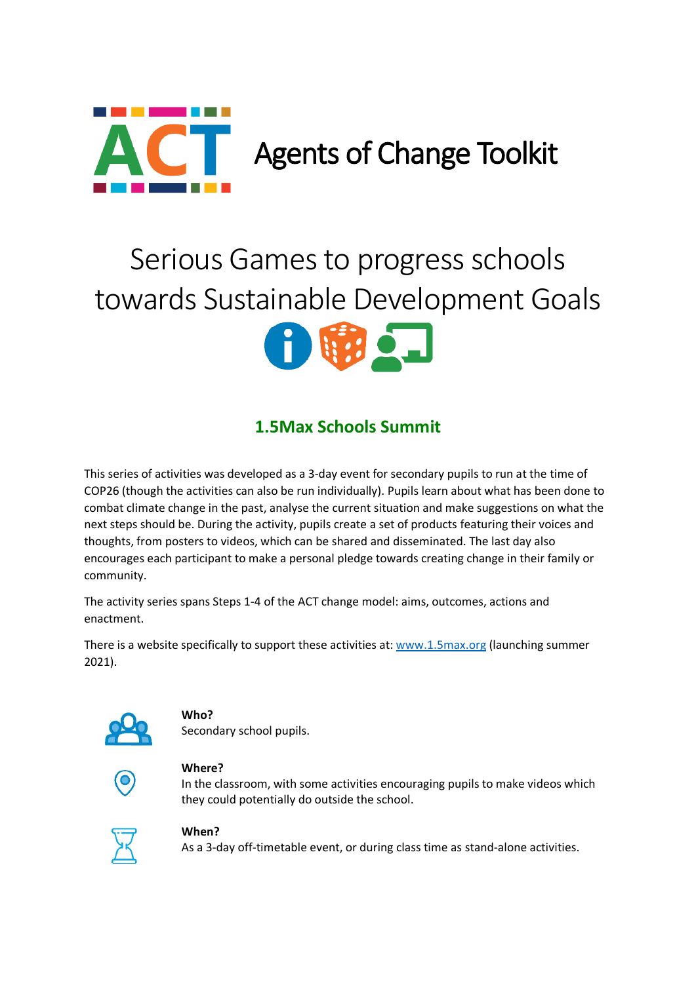

## Serious Games to progress schools towards Sustainable Development Goals



## **1.5Max Schools Summit**

This series of activities was developed as a 3-day event for secondary pupils to run at the time of COP26 (though the activities can also be run individually). Pupils learn about what has been done to combat climate change in the past, analyse the current situation and make suggestions on what the next steps should be. During the activity, pupils create a set of products featuring their voices and thoughts, from posters to videos, which can be shared and disseminated. The last day also encourages each participant to make a personal pledge towards creating change in their family or community.

The activity series spans Steps 1-4 of the ACT change model: aims, outcomes, actions and enactment.

There is a website specifically to support these activities at: [www.1.5max.org](http://www.1.5max.org/) (launching summer 2021).



#### **Who?**

Secondary school pupils.



#### **Where?**

In the classroom, with some activities encouraging pupils to make videos which they could potentially do outside the school.



#### **When?**

As a 3-day off-timetable event, or during class time as stand-alone activities.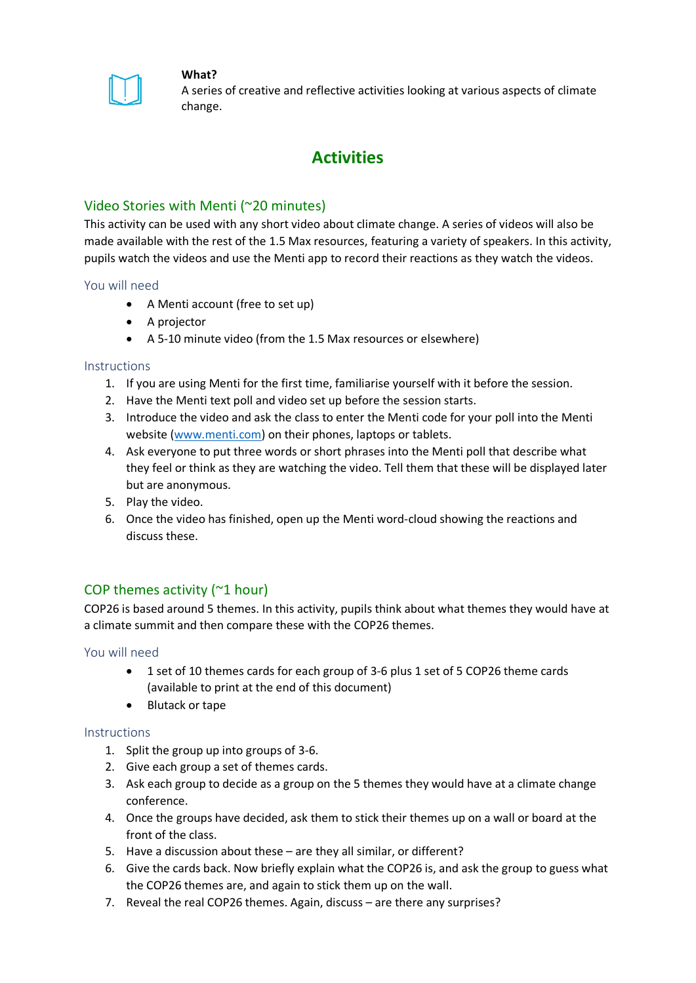

#### **What?**

A series of creative and reflective activities looking at various aspects of climate change.

### **Activities**

#### Video Stories with Menti (~20 minutes)

This activity can be used with any short video about climate change. A series of videos will also be made available with the rest of the 1.5 Max resources, featuring a variety of speakers. In this activity, pupils watch the videos and use the Menti app to record their reactions as they watch the videos.

#### You will need

- A Menti account (free to set up)
- A projector
- A 5-10 minute video (from the 1.5 Max resources or elsewhere)

#### **Instructions**

- 1. If you are using Menti for the first time, familiarise yourself with it before the session.
- 2. Have the Menti text poll and video set up before the session starts.
- 3. Introduce the video and ask the class to enter the Menti code for your poll into the Menti website [\(www.menti.com\)](http://www.menti.com/) on their phones, laptops or tablets.
- 4. Ask everyone to put three words or short phrases into the Menti poll that describe what they feel or think as they are watching the video. Tell them that these will be displayed later but are anonymous.
- 5. Play the video.
- 6. Once the video has finished, open up the Menti word-cloud showing the reactions and discuss these.

#### COP themes activity (~1 hour)

COP26 is based around 5 themes. In this activity, pupils think about what themes they would have at a climate summit and then compare these with the COP26 themes.

#### You will need

- 1 set of 10 themes cards for each group of 3-6 plus 1 set of 5 COP26 theme cards (available to print at the end of this document)
- Blutack or tape

#### Instructions

- 1. Split the group up into groups of 3-6.
- 2. Give each group a set of themes cards.
- 3. Ask each group to decide as a group on the 5 themes they would have at a climate change conference.
- 4. Once the groups have decided, ask them to stick their themes up on a wall or board at the front of the class.
- 5. Have a discussion about these are they all similar, or different?
- 6. Give the cards back. Now briefly explain what the COP26 is, and ask the group to guess what the COP26 themes are, and again to stick them up on the wall.
- 7. Reveal the real COP26 themes. Again, discuss are there any surprises?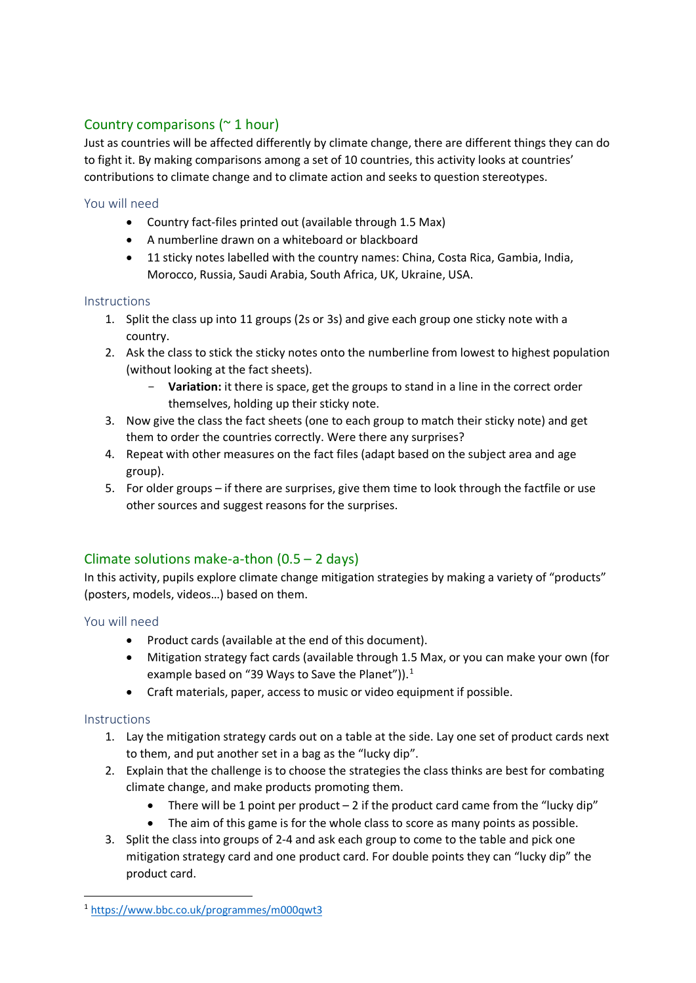### Country comparisons (~ 1 hour)

Just as countries will be affected differently by climate change, there are different things they can do to fight it. By making comparisons among a set of 10 countries, this activity looks at countries' contributions to climate change and to climate action and seeks to question stereotypes.

#### You will need

- Country fact-files printed out (available through 1.5 Max)
- A numberline drawn on a whiteboard or blackboard
- 11 sticky notes labelled with the country names: China, Costa Rica, Gambia, India, Morocco, Russia, Saudi Arabia, South Africa, UK, Ukraine, USA.

#### **Instructions**

- 1. Split the class up into 11 groups (2s or 3s) and give each group one sticky note with a country.
- 2. Ask the class to stick the sticky notes onto the numberline from lowest to highest population (without looking at the fact sheets).
	- **Variation:** it there is space, get the groups to stand in a line in the correct order themselves, holding up their sticky note.
- 3. Now give the class the fact sheets (one to each group to match their sticky note) and get them to order the countries correctly. Were there any surprises?
- 4. Repeat with other measures on the fact files (adapt based on the subject area and age group).
- 5. For older groups if there are surprises, give them time to look through the factfile or use other sources and suggest reasons for the surprises.

### Climate solutions make-a-thon (0.5 – 2 days)

In this activity, pupils explore climate change mitigation strategies by making a variety of "products" (posters, models, videos…) based on them.

#### You will need

- Product cards (available at the end of this document).
- Mitigation strategy fact cards (available through 1.5 Max, or you can make your own (for example based on "39 Ways to Save the Planet")).<sup>[1](#page-2-0)</sup>
- Craft materials, paper, access to music or video equipment if possible.

#### **Instructions**

- 1. Lay the mitigation strategy cards out on a table at the side. Lay one set of product cards next to them, and put another set in a bag as the "lucky dip".
- 2. Explain that the challenge is to choose the strategies the class thinks are best for combating climate change, and make products promoting them.
	- There will be 1 point per product  $-2$  if the product card came from the "lucky dip"
	- The aim of this game is for the whole class to score as many points as possible.
- 3. Split the class into groups of 2-4 and ask each group to come to the table and pick one mitigation strategy card and one product card. For double points they can "lucky dip" the product card.

<span id="page-2-0"></span> <sup>1</sup> <https://www.bbc.co.uk/programmes/m000qwt3>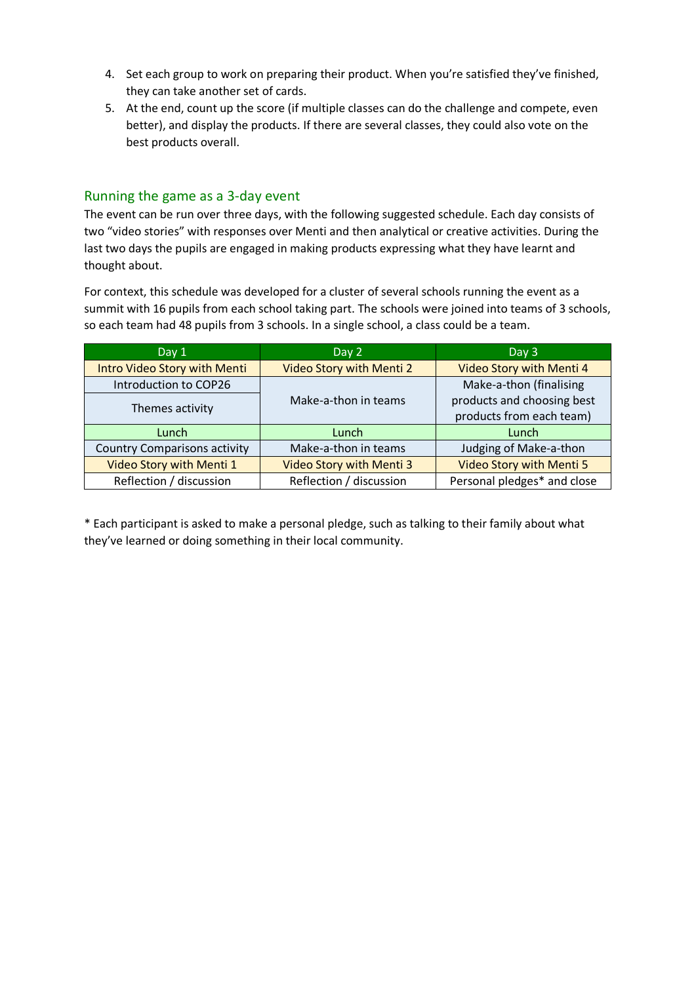- 4. Set each group to work on preparing their product. When you're satisfied they've finished, they can take another set of cards.
- 5. At the end, count up the score (if multiple classes can do the challenge and compete, even better), and display the products. If there are several classes, they could also vote on the best products overall.

#### Running the game as a 3-day event

The event can be run over three days, with the following suggested schedule. Each day consists of two "video stories" with responses over Menti and then analytical or creative activities. During the last two days the pupils are engaged in making products expressing what they have learnt and thought about.

For context, this schedule was developed for a cluster of several schools running the event as a summit with 16 pupils from each school taking part. The schools were joined into teams of 3 schools, so each team had 48 pupils from 3 schools. In a single school, a class could be a team.

| Day 1                               | Day 2                           | Day 3                                                  |
|-------------------------------------|---------------------------------|--------------------------------------------------------|
| <b>Intro Video Story with Menti</b> | Video Story with Menti 2        | Video Story with Menti 4                               |
| Introduction to COP26               |                                 | Make-a-thon (finalising                                |
| Themes activity                     | Make-a-thon in teams            | products and choosing best<br>products from each team) |
| Lunch                               | Lunch                           | Lunch                                                  |
| <b>Country Comparisons activity</b> | Make-a-thon in teams            | Judging of Make-a-thon                                 |
| Video Story with Menti 1            | <b>Video Story with Menti 3</b> | <b>Video Story with Menti 5</b>                        |
| Reflection / discussion             | Reflection / discussion         | Personal pledges* and close                            |

\* Each participant is asked to make a personal pledge, such as talking to their family about what they've learned or doing something in their local community.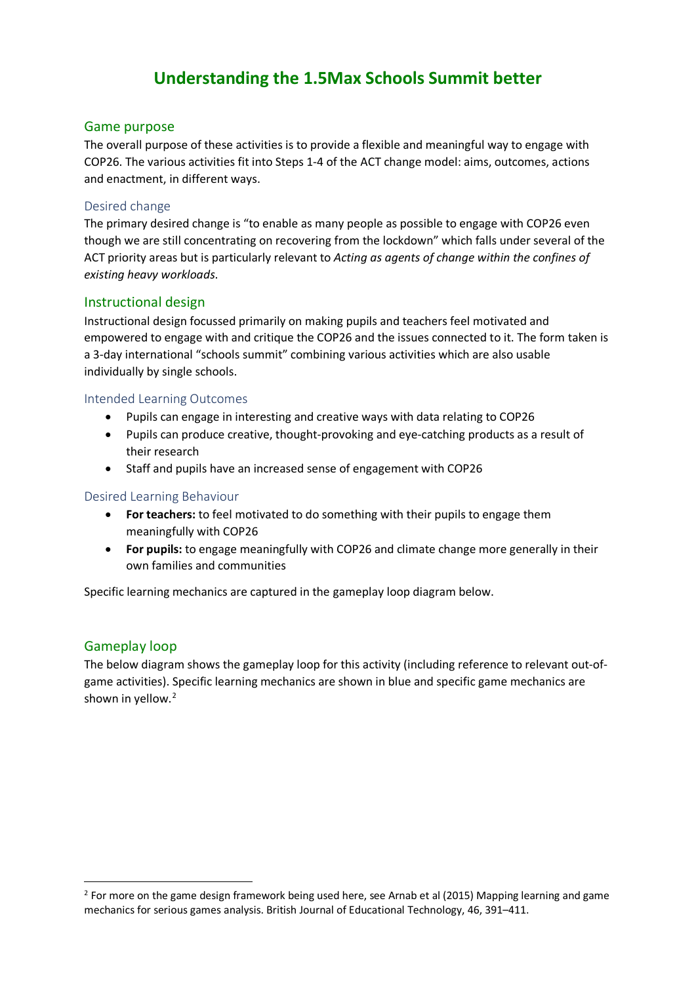### **Understanding the 1.5Max Schools Summit better**

#### Game purpose

The overall purpose of these activities is to provide a flexible and meaningful way to engage with COP26. The various activities fit into Steps 1-4 of the ACT change model: aims, outcomes, actions and enactment, in different ways.

#### Desired change

The primary desired change is "to enable as many people as possible to engage with COP26 even though we are still concentrating on recovering from the lockdown" which falls under several of the ACT priority areas but is particularly relevant to *Acting as agents of change within the confines of existing heavy workloads*.

#### Instructional design

Instructional design focussed primarily on making pupils and teachers feel motivated and empowered to engage with and critique the COP26 and the issues connected to it. The form taken is a 3-day international "schools summit" combining various activities which are also usable individually by single schools.

#### Intended Learning Outcomes

- Pupils can engage in interesting and creative ways with data relating to COP26
- Pupils can produce creative, thought-provoking and eye-catching products as a result of their research
- Staff and pupils have an increased sense of engagement with COP26

#### Desired Learning Behaviour

- **For teachers:** to feel motivated to do something with their pupils to engage them meaningfully with COP26
- **For pupils:** to engage meaningfully with COP26 and climate change more generally in their own families and communities

Specific learning mechanics are captured in the gameplay loop diagram below.

#### Gameplay loop

The below diagram shows the gameplay loop for this activity (including reference to relevant out-ofgame activities). Specific learning mechanics are shown in blue and specific game mechanics are shown in yellow.<sup>[2](#page-4-0)</sup>

<span id="page-4-0"></span><sup>&</sup>lt;sup>2</sup> For more on the game design framework being used here, see Arnab et al (2015) Mapping learning and game mechanics for serious games analysis. British Journal of Educational Technology, 46, 391–411.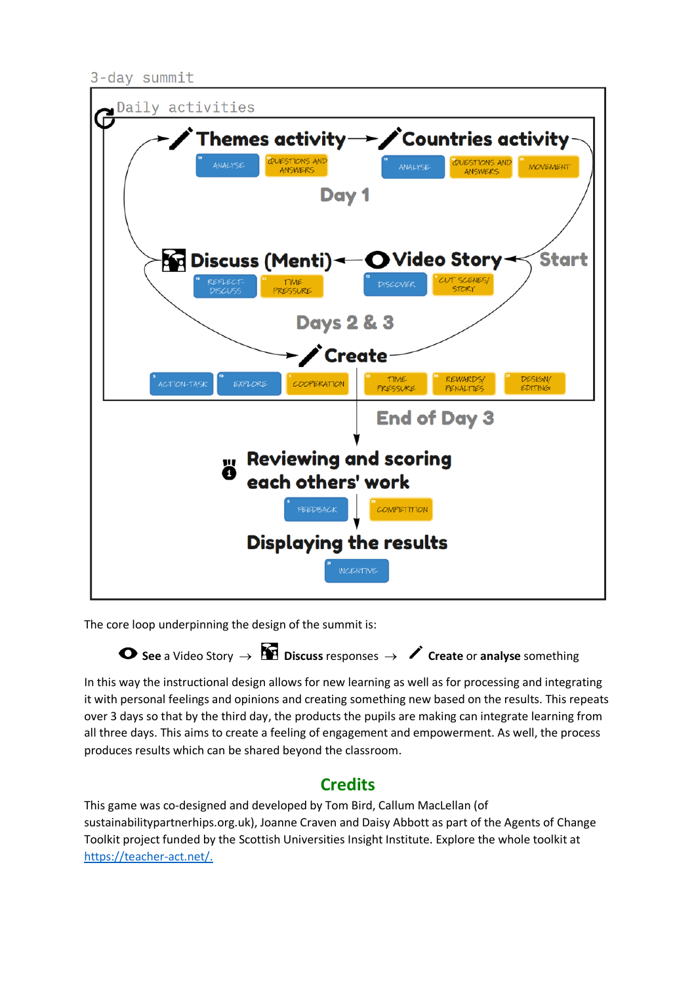3-day summit



The core loop underpinning the design of the summit is:

**See** a Video Story → **Discuss** responses → **Create** or **analyse** something

In this way the instructional design allows for new learning as well as for processing and integrating it with personal feelings and opinions and creating something new based on the results. This repeats over 3 days so that by the third day, the products the pupils are making can integrate learning from all three days. This aims to create a feeling of engagement and empowerment. As well, the process produces results which can be shared beyond the classroom.

### **Credits**

This game was co-designed and developed by Tom Bird, Callum MacLellan (of sustainabilitypartnerhips.org.uk), Joanne Craven and Daisy Abbott as part of the Agents of Change Toolkit project funded by the Scottish Universities Insight Institute. Explore the whole toolkit at [https://teacher-act.net/.](https://teacher-act.net/)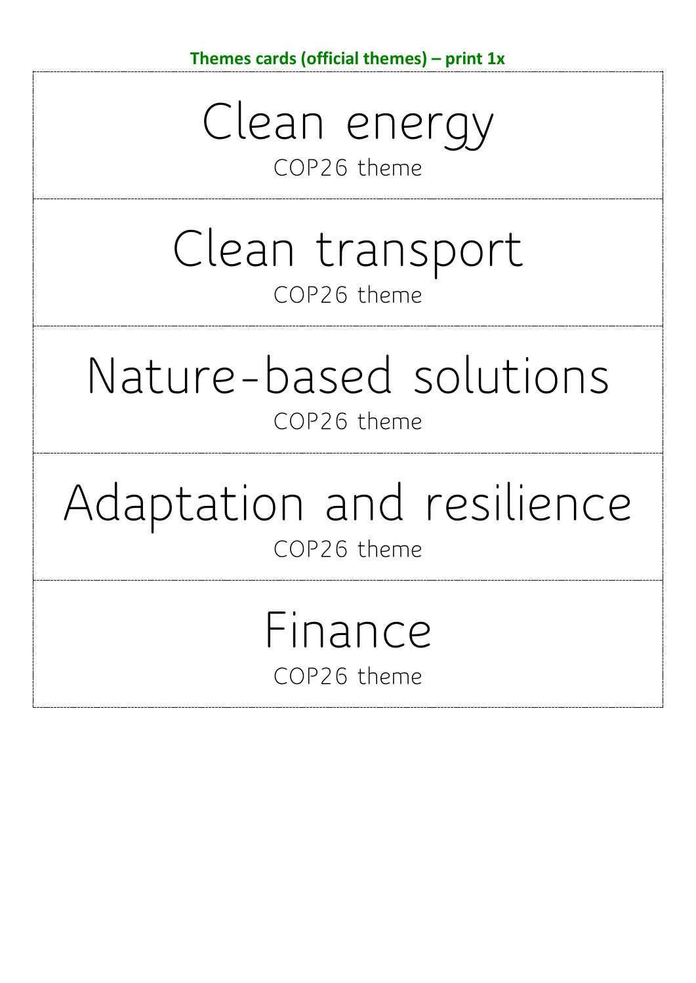Clean energy

## COP26 theme

## Clean transport COP26 theme

# Nature-based solutions COP26 theme

# Adaptation and resilience COP26 theme

# Finance COP26 theme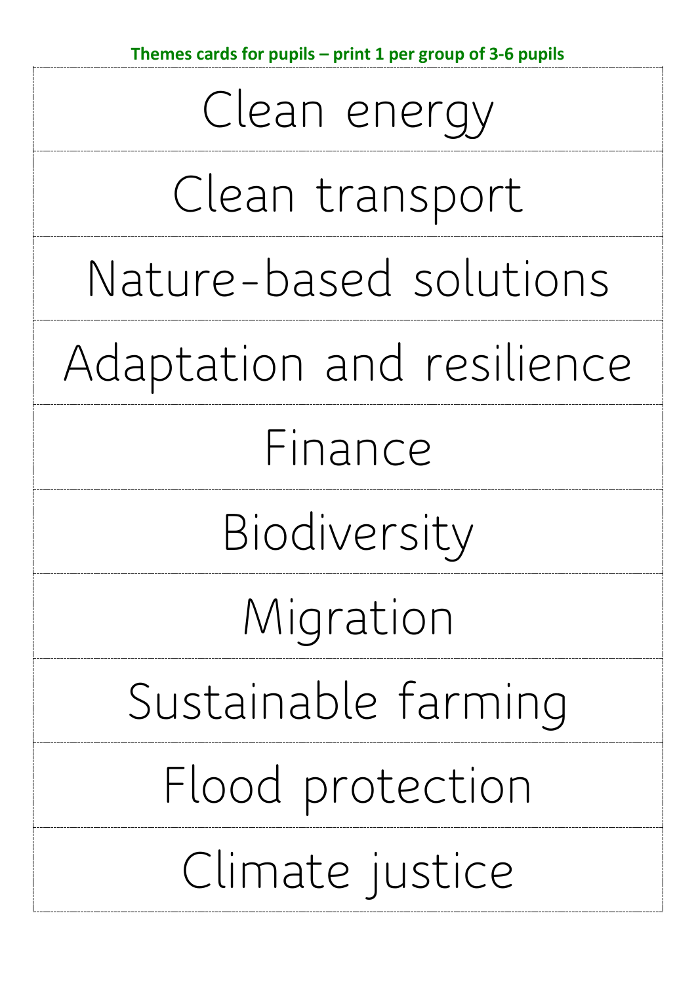